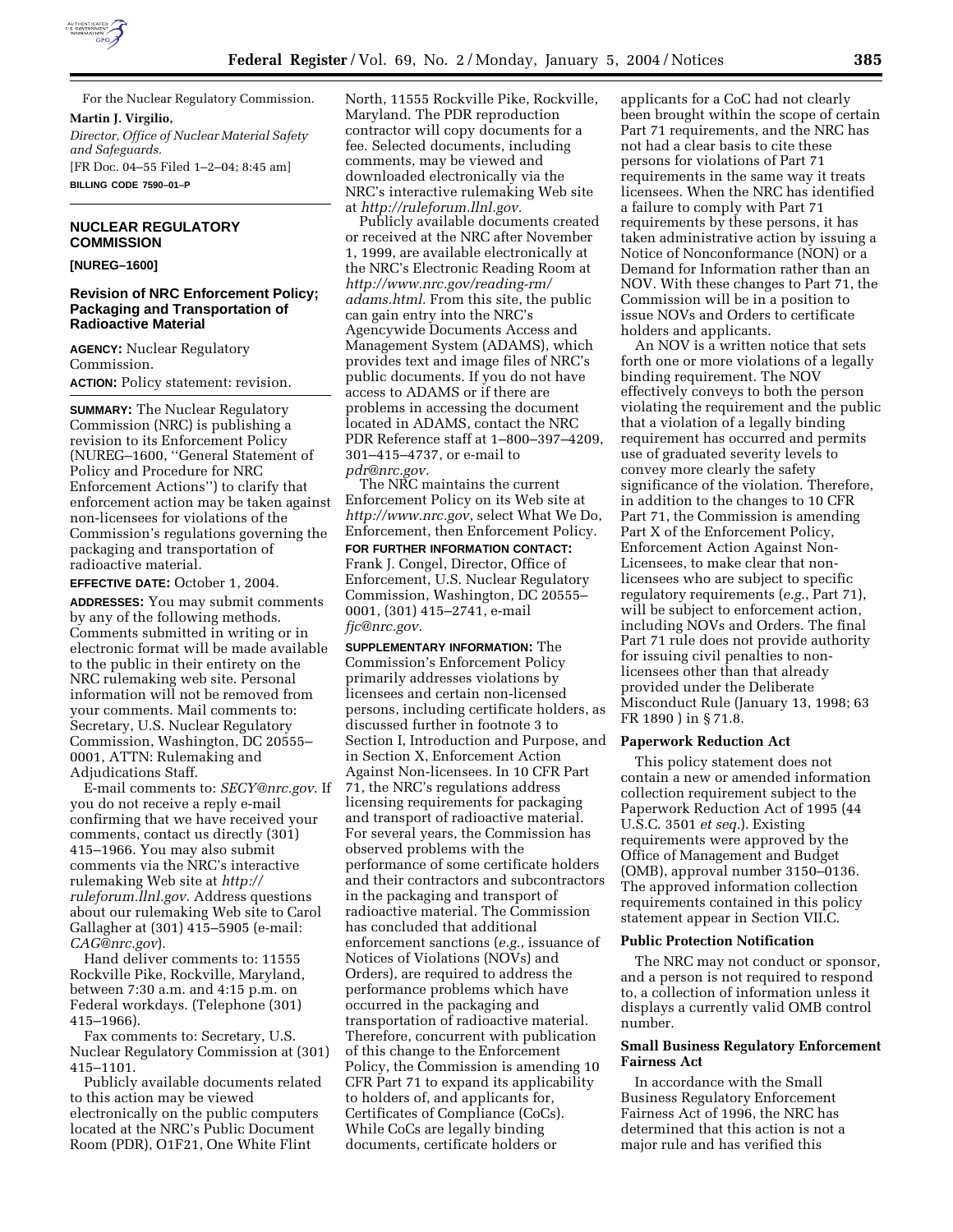

For the Nuclear Regulatory Commission. **Martin J. Virgilio,**  *Director, Office of Nuclear Material Safety* 

*and Safeguards.* [FR Doc. 04–55 Filed 1–2–04; 8:45 am] **BILLING CODE 7590–01–P**

### **NUCLEAR REGULATORY COMMISSION**

**[NUREG–1600]** 

# **Revision of NRC Enforcement Policy; Packaging and Transportation of Radioactive Material**

**AGENCY:** Nuclear Regulatory Commission.

**ACTION:** Policy statement: revision.

**SUMMARY:** The Nuclear Regulatory Commission (NRC) is publishing a revision to its Enforcement Policy (NUREG–1600, ''General Statement of Policy and Procedure for NRC Enforcement Actions'') to clarify that enforcement action may be taken against non-licensees for violations of the Commission's regulations governing the packaging and transportation of radioactive material.

**EFFECTIVE DATE:** October 1, 2004.

**ADDRESSES:** You may submit comments by any of the following methods. Comments submitted in writing or in electronic format will be made available to the public in their entirety on the NRC rulemaking web site. Personal information will not be removed from your comments. Mail comments to: Secretary, U.S. Nuclear Regulatory Commission, Washington, DC 20555– 0001, ATTN: Rulemaking and Adjudications Staff.

E-mail comments to: *SECY@nrc.gov*. If you do not receive a reply e-mail confirming that we have received your comments, contact us directly (301) 415–1966. You may also submit comments via the NRC's interactive rulemaking Web site at *http:// ruleforum.llnl.gov.* Address questions about our rulemaking Web site to Carol Gallagher at (301) 415–5905 (e-mail: *CAG@nrc.gov*).

Hand deliver comments to: 11555 Rockville Pike, Rockville, Maryland, between 7:30 a.m. and 4:15 p.m. on Federal workdays. (Telephone (301) 415–1966).

Fax comments to: Secretary, U.S. Nuclear Regulatory Commission at (301) 415–1101.

Publicly available documents related to this action may be viewed electronically on the public computers located at the NRC's Public Document Room (PDR), O1F21, One White Flint

North, 11555 Rockville Pike, Rockville, Maryland. The PDR reproduction contractor will copy documents for a fee. Selected documents, including comments, may be viewed and downloaded electronically via the NRC's interactive rulemaking Web site at *http://ruleforum.llnl.gov.*

Publicly available documents created or received at the NRC after November 1, 1999, are available electronically at the NRC's Electronic Reading Room at *http://www.nrc.gov/reading-rm/ adams.html.* From this site, the public can gain entry into the NRC's Agencywide Documents Access and Management System (ADAMS), which provides text and image files of NRC's public documents. If you do not have access to ADAMS or if there are problems in accessing the document located in ADAMS, contact the NRC PDR Reference staff at 1–800–397–4209, 301–415–4737, or e-mail to *pdr@nrc.gov.*

The NRC maintains the current Enforcement Policy on its Web site at *http://www.nrc.gov*, select What We Do, Enforcement, then Enforcement Policy. **FOR FURTHER INFORMATION CONTACT:** Frank J. Congel, Director, Office of Enforcement, U.S. Nuclear Regulatory Commission, Washington, DC 20555– 0001, (301) 415–2741, e-mail *fjc@nrc.gov.*

**SUPPLEMENTARY INFORMATION:** The Commission's Enforcement Policy primarily addresses violations by licensees and certain non-licensed persons, including certificate holders, as discussed further in footnote 3 to Section I, Introduction and Purpose, and in Section X, Enforcement Action Against Non-licensees. In 10 CFR Part 71, the NRC's regulations address licensing requirements for packaging and transport of radioactive material. For several years, the Commission has observed problems with the performance of some certificate holders and their contractors and subcontractors in the packaging and transport of radioactive material. The Commission has concluded that additional enforcement sanctions (*e.g.*, issuance of Notices of Violations (NOVs) and Orders), are required to address the performance problems which have occurred in the packaging and transportation of radioactive material. Therefore, concurrent with publication of this change to the Enforcement Policy, the Commission is amending 10 CFR Part 71 to expand its applicability to holders of, and applicants for, Certificates of Compliance (CoCs). While CoCs are legally binding documents, certificate holders or

applicants for a CoC had not clearly been brought within the scope of certain Part 71 requirements, and the NRC has not had a clear basis to cite these persons for violations of Part 71 requirements in the same way it treats licensees. When the NRC has identified a failure to comply with Part 71 requirements by these persons, it has taken administrative action by issuing a Notice of Nonconformance (NON) or a Demand for Information rather than an NOV. With these changes to Part 71, the Commission will be in a position to issue NOVs and Orders to certificate holders and applicants.

An NOV is a written notice that sets forth one or more violations of a legally binding requirement. The NOV effectively conveys to both the person violating the requirement and the public that a violation of a legally binding requirement has occurred and permits use of graduated severity levels to convey more clearly the safety significance of the violation. Therefore, in addition to the changes to 10 CFR Part 71, the Commission is amending Part X of the Enforcement Policy, Enforcement Action Against Non-Licensees, to make clear that nonlicensees who are subject to specific regulatory requirements (*e.g.*, Part 71), will be subject to enforcement action, including NOVs and Orders. The final Part 71 rule does not provide authority for issuing civil penalties to nonlicensees other than that already provided under the Deliberate Misconduct Rule (January 13, 1998; 63 FR 1890 ) in § 71.8.

### **Paperwork Reduction Act**

This policy statement does not contain a new or amended information collection requirement subject to the Paperwork Reduction Act of 1995 (44 U.S.C. 3501 *et seq.*). Existing requirements were approved by the Office of Management and Budget (OMB), approval number 3150–0136. The approved information collection requirements contained in this policy statement appear in Section VII.C.

# **Public Protection Notification**

The NRC may not conduct or sponsor, and a person is not required to respond to, a collection of information unless it displays a currently valid OMB control number.

# **Small Business Regulatory Enforcement Fairness Act**

In accordance with the Small Business Regulatory Enforcement Fairness Act of 1996, the NRC has determined that this action is not a major rule and has verified this